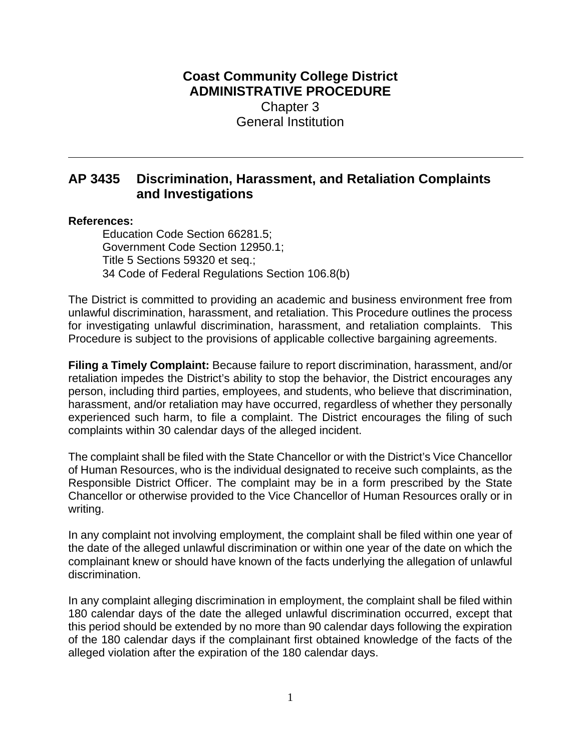## **Coast Community College District ADMINISTRATIVE PROCEDURE** Chapter 3 General Institution

# **AP 3435 Discrimination, Harassment, and Retaliation Complaints and Investigations**

### **References:**

Education Code Section 66281.5; Government Code Section 12950.1; Title 5 Sections 59320 et seq.; 34 Code of Federal Regulations Section 106.8(b)

The District is committed to providing an academic and business environment free from unlawful discrimination, harassment, and retaliation. This Procedure outlines the process for investigating unlawful discrimination, harassment, and retaliation complaints. This Procedure is subject to the provisions of applicable collective bargaining agreements.

**Filing a Timely Complaint:** Because failure to report discrimination, harassment, and/or retaliation impedes the District's ability to stop the behavior, the District encourages any person, including third parties, employees, and students, who believe that discrimination, harassment, and/or retaliation may have occurred, regardless of whether they personally experienced such harm, to file a complaint. The District encourages the filing of such complaints within 30 calendar days of the alleged incident.

The complaint shall be filed with the State Chancellor or with the District's Vice Chancellor of Human Resources, who is the individual designated to receive such complaints, as the Responsible District Officer. The complaint may be in a form prescribed by the State Chancellor or otherwise provided to the Vice Chancellor of Human Resources orally or in writing.

In any complaint not involving employment, the complaint shall be filed within one year of the date of the alleged unlawful discrimination or within one year of the date on which the complainant knew or should have known of the facts underlying the allegation of unlawful discrimination.

In any complaint alleging discrimination in employment, the complaint shall be filed within 180 calendar days of the date the alleged unlawful discrimination occurred, except that this period should be extended by no more than 90 calendar days following the expiration of the 180 calendar days if the complainant first obtained knowledge of the facts of the alleged violation after the expiration of the 180 calendar days.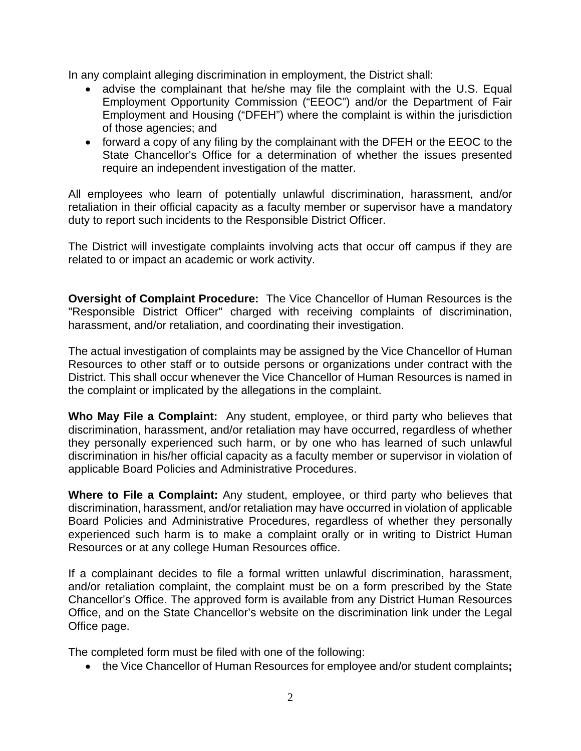In any complaint alleging discrimination in employment, the District shall:

- advise the complainant that he/she may file the complaint with the U.S. Equal Employment Opportunity Commission ("EEOC") and/or the Department of Fair Employment and Housing ("DFEH") where the complaint is within the jurisdiction of those agencies; and
- forward a copy of any filing by the complainant with the DFEH or the EEOC to the State Chancellor's Office for a determination of whether the issues presented require an independent investigation of the matter.

All employees who learn of potentially unlawful discrimination, harassment, and/or retaliation in their official capacity as a faculty member or supervisor have a mandatory duty to report such incidents to the Responsible District Officer.

The District will investigate complaints involving acts that occur off campus if they are related to or impact an academic or work activity.

**Oversight of Complaint Procedure:** The Vice Chancellor of Human Resources is the "Responsible District Officer" charged with receiving complaints of discrimination, harassment, and/or retaliation, and coordinating their investigation.

The actual investigation of complaints may be assigned by the Vice Chancellor of Human Resources to other staff or to outside persons or organizations under contract with the District. This shall occur whenever the Vice Chancellor of Human Resources is named in the complaint or implicated by the allegations in the complaint.

**Who May File a Complaint:** Any student, employee, or third party who believes that discrimination, harassment, and/or retaliation may have occurred, regardless of whether they personally experienced such harm, or by one who has learned of such unlawful discrimination in his/her official capacity as a faculty member or supervisor in violation of applicable Board Policies and Administrative Procedures.

**Where to File a Complaint:** Any student, employee, or third party who believes that discrimination, harassment, and/or retaliation may have occurred in violation of applicable Board Policies and Administrative Procedures, regardless of whether they personally experienced such harm is to make a complaint orally or in writing to District Human Resources or at any college Human Resources office.

If a complainant decides to file a formal written unlawful discrimination, harassment, and/or retaliation complaint, the complaint must be on a form prescribed by the State Chancellor's Office. The approved form is available from any District Human Resources Office, and on the State Chancellor's website on the discrimination link under the Legal Office page.

The completed form must be filed with one of the following:

the Vice Chancellor of Human Resources for employee and/or student complaints**;**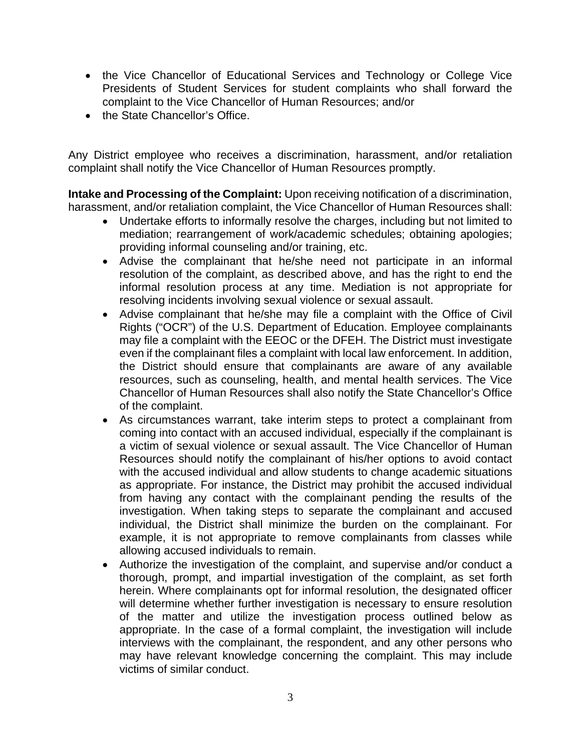- the Vice Chancellor of Educational Services and Technology or College Vice Presidents of Student Services for student complaints who shall forward the complaint to the Vice Chancellor of Human Resources; and/or
- the State Chancellor's Office.

Any District employee who receives a discrimination, harassment, and/or retaliation complaint shall notify the Vice Chancellor of Human Resources promptly.

**Intake and Processing of the Complaint:** Upon receiving notification of a discrimination, harassment, and/or retaliation complaint, the Vice Chancellor of Human Resources shall:

- Undertake efforts to informally resolve the charges, including but not limited to mediation; rearrangement of work/academic schedules; obtaining apologies; providing informal counseling and/or training, etc.
- Advise the complainant that he/she need not participate in an informal resolution of the complaint, as described above, and has the right to end the informal resolution process at any time. Mediation is not appropriate for resolving incidents involving sexual violence or sexual assault.
- Advise complainant that he/she may file a complaint with the Office of Civil Rights ("OCR") of the U.S. Department of Education. Employee complainants may file a complaint with the EEOC or the DFEH. The District must investigate even if the complainant files a complaint with local law enforcement. In addition, the District should ensure that complainants are aware of any available resources, such as counseling, health, and mental health services. The Vice Chancellor of Human Resources shall also notify the State Chancellor's Office of the complaint.
- As circumstances warrant, take interim steps to protect a complainant from coming into contact with an accused individual, especially if the complainant is a victim of sexual violence or sexual assault. The Vice Chancellor of Human Resources should notify the complainant of his/her options to avoid contact with the accused individual and allow students to change academic situations as appropriate. For instance, the District may prohibit the accused individual from having any contact with the complainant pending the results of the investigation. When taking steps to separate the complainant and accused individual, the District shall minimize the burden on the complainant. For example, it is not appropriate to remove complainants from classes while allowing accused individuals to remain.
- Authorize the investigation of the complaint, and supervise and/or conduct a thorough, prompt, and impartial investigation of the complaint, as set forth herein. Where complainants opt for informal resolution, the designated officer will determine whether further investigation is necessary to ensure resolution of the matter and utilize the investigation process outlined below as appropriate. In the case of a formal complaint, the investigation will include interviews with the complainant, the respondent, and any other persons who may have relevant knowledge concerning the complaint. This may include victims of similar conduct.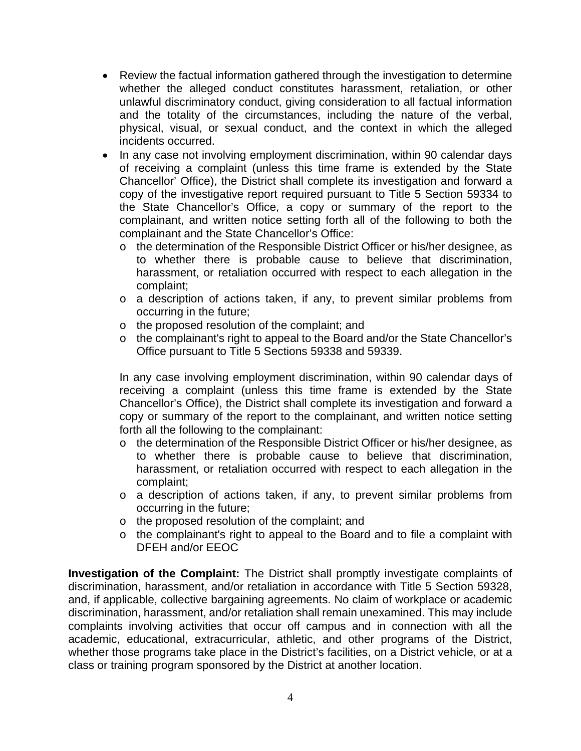- Review the factual information gathered through the investigation to determine whether the alleged conduct constitutes harassment, retaliation, or other unlawful discriminatory conduct, giving consideration to all factual information and the totality of the circumstances, including the nature of the verbal, physical, visual, or sexual conduct, and the context in which the alleged incidents occurred.
- In any case not involving employment discrimination, within 90 calendar days of receiving a complaint (unless this time frame is extended by the State Chancellor' Office), the District shall complete its investigation and forward a copy of the investigative report required pursuant to Title 5 Section 59334 to the State Chancellor's Office, a copy or summary of the report to the complainant, and written notice setting forth all of the following to both the complainant and the State Chancellor's Office:
	- o the determination of the Responsible District Officer or his/her designee, as to whether there is probable cause to believe that discrimination, harassment, or retaliation occurred with respect to each allegation in the complaint;
	- o a description of actions taken, if any, to prevent similar problems from occurring in the future;
	- o the proposed resolution of the complaint; and
	- o the complainant's right to appeal to the Board and/or the State Chancellor's Office pursuant to Title 5 Sections 59338 and 59339.

In any case involving employment discrimination, within 90 calendar days of receiving a complaint (unless this time frame is extended by the State Chancellor's Office), the District shall complete its investigation and forward a copy or summary of the report to the complainant, and written notice setting forth all the following to the complainant:

- o the determination of the Responsible District Officer or his/her designee, as to whether there is probable cause to believe that discrimination, harassment, or retaliation occurred with respect to each allegation in the complaint;
- o a description of actions taken, if any, to prevent similar problems from occurring in the future;
- o the proposed resolution of the complaint; and
- o the complainant's right to appeal to the Board and to file a complaint with DFEH and/or EEOC

**Investigation of the Complaint:** The District shall promptly investigate complaints of discrimination, harassment, and/or retaliation in accordance with Title 5 Section 59328, and, if applicable, collective bargaining agreements. No claim of workplace or academic discrimination, harassment, and/or retaliation shall remain unexamined. This may include complaints involving activities that occur off campus and in connection with all the academic, educational, extracurricular, athletic, and other programs of the District, whether those programs take place in the District's facilities, on a District vehicle, or at a class or training program sponsored by the District at another location.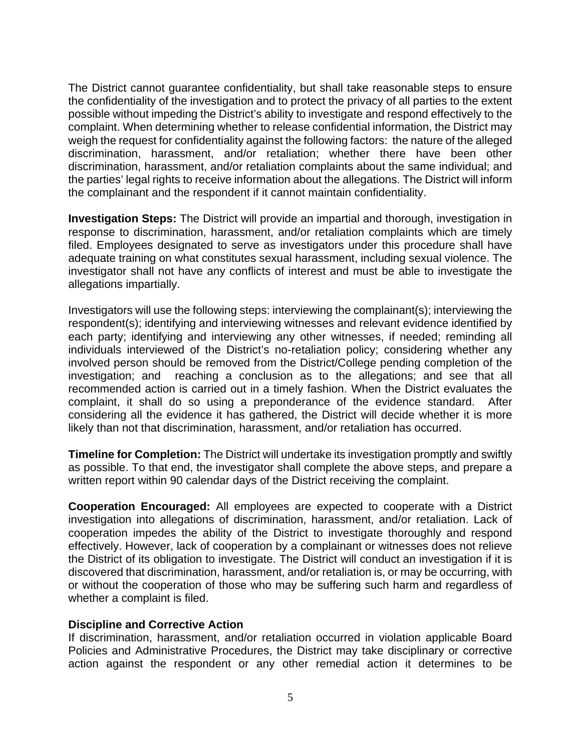The District cannot guarantee confidentiality, but shall take reasonable steps to ensure the confidentiality of the investigation and to protect the privacy of all parties to the extent possible without impeding the District's ability to investigate and respond effectively to the complaint. When determining whether to release confidential information, the District may weigh the request for confidentiality against the following factors: the nature of the alleged discrimination, harassment, and/or retaliation; whether there have been other discrimination, harassment, and/or retaliation complaints about the same individual; and the parties' legal rights to receive information about the allegations. The District will inform the complainant and the respondent if it cannot maintain confidentiality.

**Investigation Steps:** The District will provide an impartial and thorough, investigation in response to discrimination, harassment, and/or retaliation complaints which are timely filed. Employees designated to serve as investigators under this procedure shall have adequate training on what constitutes sexual harassment, including sexual violence. The investigator shall not have any conflicts of interest and must be able to investigate the allegations impartially.

Investigators will use the following steps: interviewing the complainant(s); interviewing the respondent(s); identifying and interviewing witnesses and relevant evidence identified by each party; identifying and interviewing any other witnesses, if needed; reminding all individuals interviewed of the District's no-retaliation policy; considering whether any involved person should be removed from the District/College pending completion of the investigation; and reaching a conclusion as to the allegations; and see that all recommended action is carried out in a timely fashion. When the District evaluates the complaint, it shall do so using a preponderance of the evidence standard. After considering all the evidence it has gathered, the District will decide whether it is more likely than not that discrimination, harassment, and/or retaliation has occurred.

**Timeline for Completion:** The District will undertake its investigation promptly and swiftly as possible. To that end, the investigator shall complete the above steps, and prepare a written report within 90 calendar days of the District receiving the complaint.

**Cooperation Encouraged:** All employees are expected to cooperate with a District investigation into allegations of discrimination, harassment, and/or retaliation. Lack of cooperation impedes the ability of the District to investigate thoroughly and respond effectively. However, lack of cooperation by a complainant or witnesses does not relieve the District of its obligation to investigate. The District will conduct an investigation if it is discovered that discrimination, harassment, and/or retaliation is, or may be occurring, with or without the cooperation of those who may be suffering such harm and regardless of whether a complaint is filed.

### **Discipline and Corrective Action**

If discrimination, harassment, and/or retaliation occurred in violation applicable Board Policies and Administrative Procedures, the District may take disciplinary or corrective action against the respondent or any other remedial action it determines to be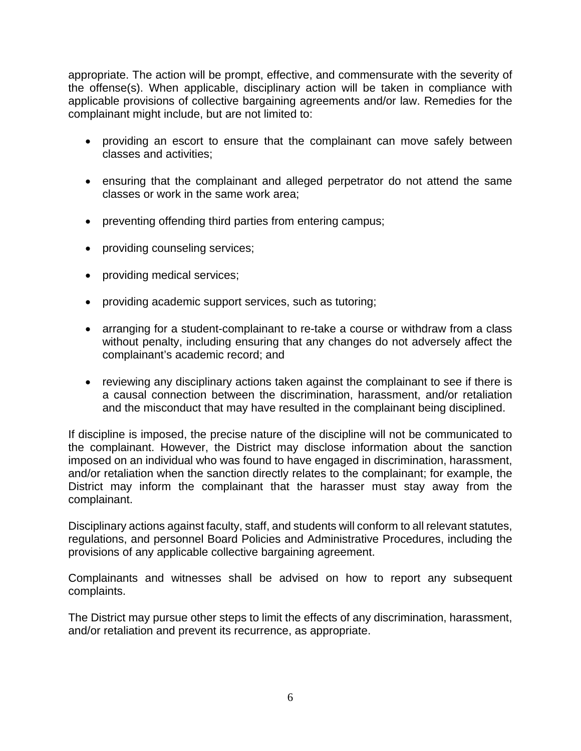appropriate. The action will be prompt, effective, and commensurate with the severity of the offense(s). When applicable, disciplinary action will be taken in compliance with applicable provisions of collective bargaining agreements and/or law. Remedies for the complainant might include, but are not limited to:

- providing an escort to ensure that the complainant can move safely between classes and activities;
- ensuring that the complainant and alleged perpetrator do not attend the same classes or work in the same work area;
- preventing offending third parties from entering campus;
- providing counseling services;
- providing medical services;
- providing academic support services, such as tutoring;
- arranging for a student-complainant to re-take a course or withdraw from a class without penalty, including ensuring that any changes do not adversely affect the complainant's academic record; and
- reviewing any disciplinary actions taken against the complainant to see if there is a causal connection between the discrimination, harassment, and/or retaliation and the misconduct that may have resulted in the complainant being disciplined.

If discipline is imposed, the precise nature of the discipline will not be communicated to the complainant. However, the District may disclose information about the sanction imposed on an individual who was found to have engaged in discrimination, harassment, and/or retaliation when the sanction directly relates to the complainant; for example, the District may inform the complainant that the harasser must stay away from the complainant.

Disciplinary actions against faculty, staff, and students will conform to all relevant statutes, regulations, and personnel Board Policies and Administrative Procedures, including the provisions of any applicable collective bargaining agreement.

Complainants and witnesses shall be advised on how to report any subsequent complaints.

The District may pursue other steps to limit the effects of any discrimination, harassment, and/or retaliation and prevent its recurrence, as appropriate.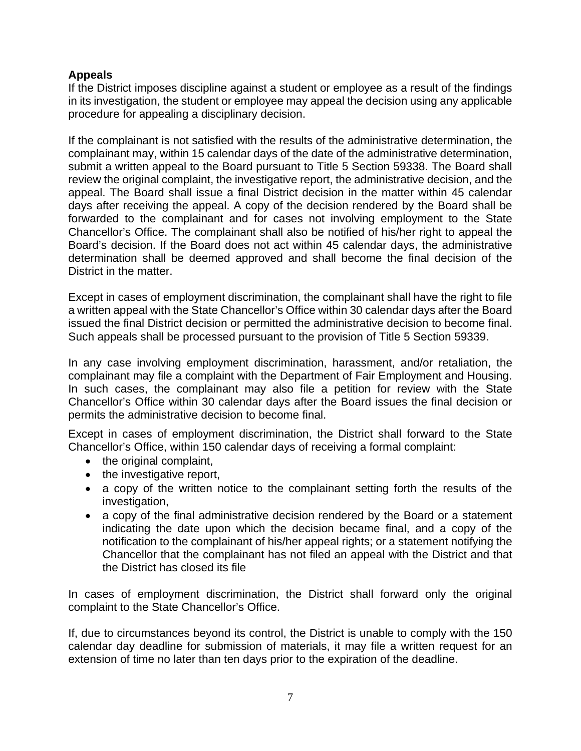## **Appeals**

If the District imposes discipline against a student or employee as a result of the findings in its investigation, the student or employee may appeal the decision using any applicable procedure for appealing a disciplinary decision.

If the complainant is not satisfied with the results of the administrative determination, the complainant may, within 15 calendar days of the date of the administrative determination, submit a written appeal to the Board pursuant to Title 5 Section 59338. The Board shall review the original complaint, the investigative report, the administrative decision, and the appeal. The Board shall issue a final District decision in the matter within 45 calendar days after receiving the appeal. A copy of the decision rendered by the Board shall be forwarded to the complainant and for cases not involving employment to the State Chancellor's Office. The complainant shall also be notified of his/her right to appeal the Board's decision. If the Board does not act within 45 calendar days, the administrative determination shall be deemed approved and shall become the final decision of the District in the matter.

Except in cases of employment discrimination, the complainant shall have the right to file a written appeal with the State Chancellor's Office within 30 calendar days after the Board issued the final District decision or permitted the administrative decision to become final. Such appeals shall be processed pursuant to the provision of Title 5 Section 59339.

In any case involving employment discrimination, harassment, and/or retaliation, the complainant may file a complaint with the Department of Fair Employment and Housing. In such cases, the complainant may also file a petition for review with the State Chancellor's Office within 30 calendar days after the Board issues the final decision or permits the administrative decision to become final.

Except in cases of employment discrimination, the District shall forward to the State Chancellor's Office, within 150 calendar days of receiving a formal complaint:

- the original complaint,
- the investigative report,
- a copy of the written notice to the complainant setting forth the results of the investigation,
- a copy of the final administrative decision rendered by the Board or a statement indicating the date upon which the decision became final, and a copy of the notification to the complainant of his/her appeal rights; or a statement notifying the Chancellor that the complainant has not filed an appeal with the District and that the District has closed its file

In cases of employment discrimination, the District shall forward only the original complaint to the State Chancellor's Office.

If, due to circumstances beyond its control, the District is unable to comply with the 150 calendar day deadline for submission of materials, it may file a written request for an extension of time no later than ten days prior to the expiration of the deadline.